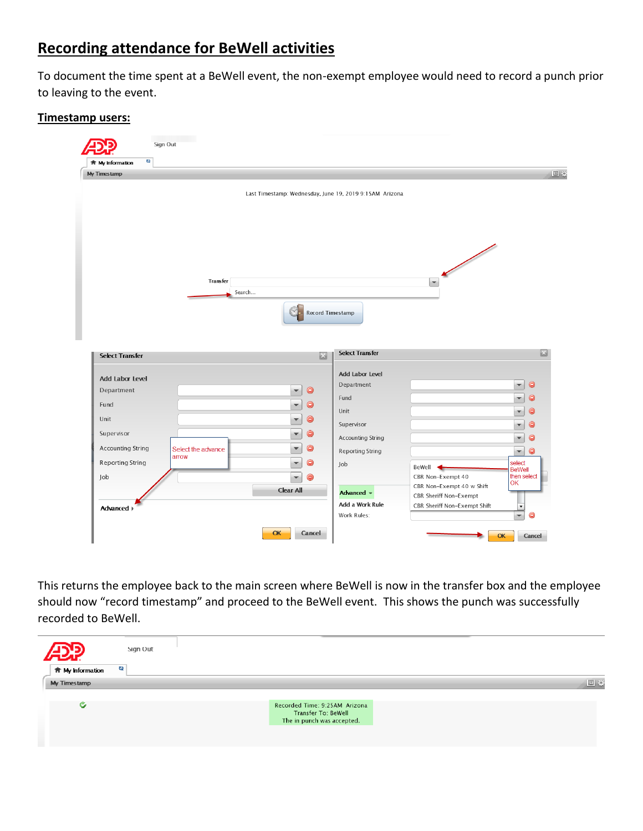# **Recording attendance for BeWell activities**

To document the time spent at a BeWell event, the non-exempt employee would need to record a punch prior to leaving to the event.

# **Timestamp users:**

| $\mathbf{c}_2$<br><b>ft</b> My Information |                             |                                                         |                          |                                                     |                          |           |
|--------------------------------------------|-----------------------------|---------------------------------------------------------|--------------------------|-----------------------------------------------------|--------------------------|-----------|
| My Timestamp                               |                             |                                                         |                          |                                                     |                          |           |
|                                            |                             | Last Timestamp: Wednesday, June 19, 2019 9:15AM Arizona |                          |                                                     |                          |           |
|                                            |                             |                                                         |                          |                                                     |                          |           |
|                                            |                             |                                                         |                          |                                                     |                          |           |
|                                            |                             |                                                         |                          |                                                     |                          |           |
|                                            |                             |                                                         |                          |                                                     |                          |           |
|                                            |                             |                                                         |                          |                                                     |                          |           |
|                                            |                             |                                                         |                          | $\sqrt{2}$                                          |                          |           |
|                                            | Transfer                    |                                                         |                          | $\left  \cdot \right $                              |                          |           |
|                                            | Search                      |                                                         |                          |                                                     |                          |           |
|                                            |                             |                                                         |                          |                                                     |                          |           |
|                                            |                             |                                                         | Record Timestamp         |                                                     |                          |           |
|                                            |                             |                                                         |                          |                                                     |                          |           |
|                                            |                             |                                                         |                          |                                                     |                          |           |
|                                            |                             |                                                         |                          |                                                     |                          |           |
| <b>Select Transfer</b>                     |                             | 因                                                       | <b>Select Transfer</b>   |                                                     |                          | E         |
|                                            |                             |                                                         |                          |                                                     |                          |           |
| <b>Add Labor Level</b>                     |                             |                                                         | Add Labor Level          |                                                     |                          |           |
| Department                                 |                             | $\bullet$<br>v                                          | Department               |                                                     | v                        | $\bullet$ |
| Fund                                       |                             | a<br>÷                                                  | Fund                     |                                                     | ÷                        | $\bullet$ |
| Unit                                       |                             | G<br>v                                                  | Unit                     |                                                     | v                        | $\bullet$ |
| Supervisor                                 |                             | e<br>v                                                  | Supervisor               |                                                     | v                        | $\bullet$ |
|                                            |                             |                                                         | <b>Accounting String</b> |                                                     | v                        | $\bullet$ |
| Accounting String                          | Select the advance<br>arrow | $\bullet$<br>v                                          | <b>Reporting String</b>  |                                                     | $\overline{\mathbf{v}}$  | $\bullet$ |
| <b>Reporting String</b>                    |                             | $\bullet$<br>÷                                          | Job                      | BeWell                                              | select<br><b>BeWell</b>  |           |
| Job                                        |                             | $\bullet$<br>v                                          |                          | CBR Non-Exempt 40                                   | then select<br>OK        |           |
|                                            |                             | <b>Clear All</b>                                        | Advanced -               | CBR Non-Exempt 40 w Shift<br>CBR Sheriff Non-Exempt |                          |           |
| Advanced >                                 |                             |                                                         | Add a Work Rule          | CBR Sheriff Non-Exempt Shift                        | $\overline{\phantom{a}}$ |           |

This returns the employee back to the main screen where BeWell is now in the transfer box and the employee should now "record timestamp" and proceed to the BeWell event. This shows the punch was successfully recorded to BeWell.

| 4DP.                           | Sign Out                                                                                  |    |
|--------------------------------|-------------------------------------------------------------------------------------------|----|
| 63<br><b>ft</b> My Information |                                                                                           |    |
| My Timestamp                   |                                                                                           | 回收 |
|                                |                                                                                           |    |
| G                              | Recorded Time: 9:25AM Arizona<br><b>Transfer To: BeWell</b><br>The in punch was accepted. |    |
|                                |                                                                                           |    |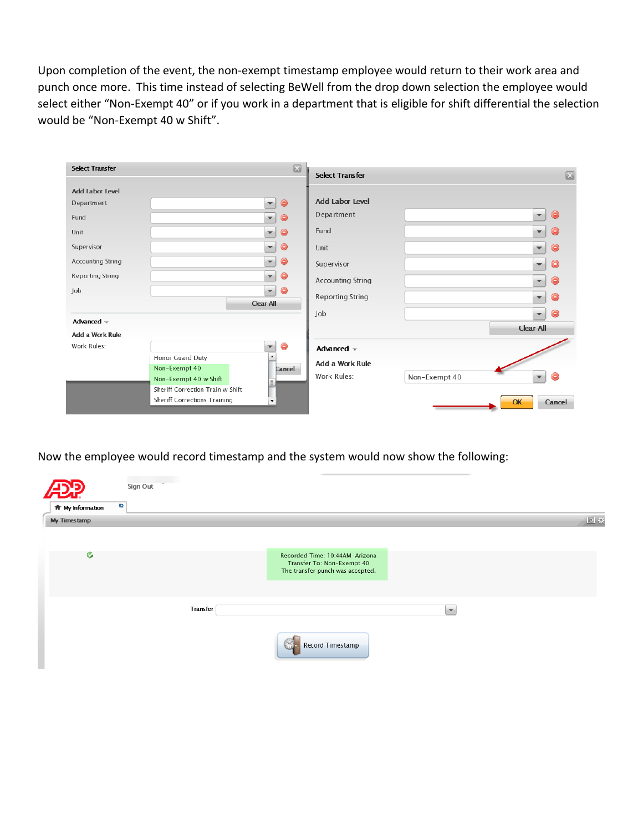Upon completion of the event, the non-exempt timestamp employee would return to their work area and punch once more. This time instead of selecting BeWell from the drop down selection the employee would select either "Non-Exempt 40" or if you work in a department that is eligible for shift differential the selection would be "Non-Exempt 40 w Shift".

| <b>Select Transfer</b>   |                                     | $\boxed{53}$                                             | <b>Select Transfer</b>   | $\mathbb{Z}$     |
|--------------------------|-------------------------------------|----------------------------------------------------------|--------------------------|------------------|
| <b>Add Labor Level</b>   |                                     |                                                          |                          |                  |
| Department               |                                     | $\bullet$<br>$\mathbf{v}$                                | <b>Add Labor Level</b>   |                  |
| Fund                     |                                     | $\bullet$<br>$\mathbf{v}$                                | Department               | $\mathbf{v}$     |
| Unit                     |                                     | $\bullet$<br>$\overline{\phantom{a}}$                    | Fund                     | $\bullet$<br>÷   |
| Supervisor               |                                     | $\bullet$<br>÷                                           | Unit                     | Θ<br>÷           |
| <b>Accounting String</b> |                                     | $\bullet$<br>$\mathbf{v}$                                | Supervisor               | $\bullet$<br>w.  |
| <b>Reporting String</b>  |                                     | $\overline{\mathbf{r}}$<br>$\bullet$                     | <b>Accounting String</b> | G<br>÷           |
| Job                      |                                     | $\bullet$<br>$\overline{\mathbf{v}}$<br><b>Clear All</b> | <b>Reporting String</b>  | Θ<br>¥           |
|                          |                                     |                                                          | Job                      | $\bullet$<br>÷   |
| Advanced $\sim$          |                                     |                                                          |                          | <b>Clear All</b> |
| Add a Work Rule          |                                     |                                                          |                          |                  |
| Work Rules:              |                                     | ⊜<br>v                                                   | Advanced $-$             |                  |
|                          | Honor Guard Duty                    | $\blacktriangle$                                         |                          |                  |
|                          | Non-Exempt 40                       | Cancel                                                   | Add a Work Rule          |                  |
|                          | Non-Exempt 40 w Shift               |                                                          | Work Rules:              | Non-Exempt 40    |
|                          | Sheriff Correction Train w Shift    |                                                          |                          |                  |
|                          | <b>Sheriff Corrections Training</b> | $\blacktriangledown$                                     |                          | Cancel<br>OK     |

Now the employee would record timestamp and the system would now show the following:

| C2                      | Sign Out        |                                                                                                  |                          |    |
|-------------------------|-----------------|--------------------------------------------------------------------------------------------------|--------------------------|----|
| <b>音 My Information</b> |                 |                                                                                                  |                          |    |
| My Timestamp<br>G       |                 | Recorded Time: 10:44AM Arizona<br>Transfer To: Non-Exempt 40<br>The transfer punch was accepted. |                          | 回线 |
|                         | <b>Transfer</b> |                                                                                                  | $\overline{\phantom{a}}$ |    |
|                         |                 | 식.<br>Record Timestamp                                                                           |                          |    |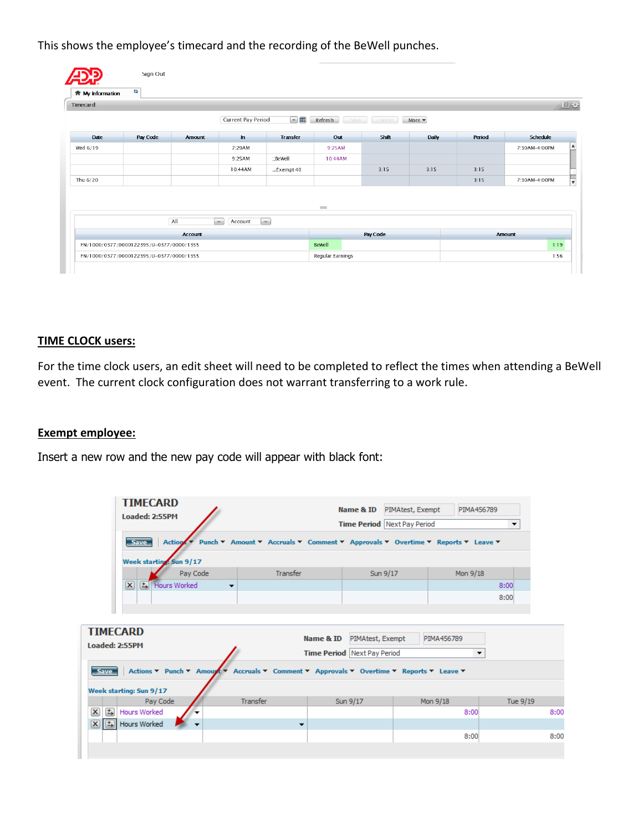This shows the employee's timecard and the recording of the BeWell punches.

| <b>Timecard</b> |          |                |                    |                 |                 |          |                           |        | 回登              |
|-----------------|----------|----------------|--------------------|-----------------|-----------------|----------|---------------------------|--------|-----------------|
|                 |          |                | Current Pay Period | $\Box$ in       | Refresh<br>Save | Cancel   | More $\blacktriangledown$ |        |                 |
| Date            | Pay Code | Amount         | $\mathbf{m}$       | <b>Transfer</b> | Out             | Shift    | Daily                     | Period | <b>Schedule</b> |
| Wed 6/19        |          |                | 7:29AM             |                 | 9:25AM          |          |                           |        | 7:30AM-4:00PM   |
|                 |          |                | 9:25AM             | :;BeWell        | 10:44AM         |          |                           |        |                 |
|                 |          |                | 10:44AM            | Exempt 40       |                 | 3:15     | 3:15                      | 3:15   |                 |
| Thu 6/20        |          |                |                    |                 |                 |          |                           | 3:15   | 7:30AM-4:00PM   |
|                 |          | All            | $\sim$<br>Account  | i w             | $\sim$          | Pay Code |                           |        | <b>Amount</b>   |
|                 |          | <b>Account</b> |                    |                 |                 |          |                           |        |                 |

# **TIME CLOCK users:**

For the time clock users, an edit sheet will need to be completed to reflect the times when attending a BeWell event. The current clock configuration does not warrant transferring to a work rule.

### **Exempt employee:**

Insert a new row and the new pay code will appear with black font:

| <b>TIMECARD</b><br>Loaded: 2:55PM                                                                       |          | Name & ID                          | PIMA456789<br>PIMAtest, Exempt                                                 |                      |
|---------------------------------------------------------------------------------------------------------|----------|------------------------------------|--------------------------------------------------------------------------------|----------------------|
|                                                                                                         |          | <b>Time Period Next Pay Period</b> |                                                                                | $\blacktriangledown$ |
| Action *<br><b>Save</b>                                                                                 |          |                                    | Punch ▼ Amount ▼ Accruals ▼ Comment ▼ Approvals ▼ Overtime ▼ Reports ▼ Leave ▼ |                      |
| Week starting: Sun 9/17                                                                                 |          |                                    |                                                                                |                      |
| Pay Code                                                                                                | Transfer | Sun 9/17                           | Mon 9/18                                                                       |                      |
| $\mathbf{x}$<br>축 Hours Worked<br>$\overline{\phantom{a}}$                                              |          |                                    |                                                                                | 8:00                 |
|                                                                                                         |          |                                    |                                                                                | 8:00                 |
|                                                                                                         |          |                                    |                                                                                |                      |
| <b>TIMECARD</b>                                                                                         |          |                                    |                                                                                |                      |
| Loaded: 2:55PM                                                                                          |          | Name & ID<br>PIMAtest, Exempt      | PIMA456789                                                                     |                      |
|                                                                                                         |          | <b>Time Period Next Pay Period</b> |                                                                                | ▼                    |
| Actions ▼ Punch ▼ Amount ▼ Accruals ▼ Comment ▼ Approvals ▼ Overtime ▼ Reports ▼ Leave ▼<br><b>Save</b> |          |                                    |                                                                                |                      |
| Week starting: Sun 9/17                                                                                 |          |                                    |                                                                                |                      |
| Pay Code                                                                                                | Transfer | Sun 9/17                           | Mon 9/18                                                                       | Tue 9/19             |
| $\overline{\mathbf{r}}$<br>$\mathbf{x}$<br>Hours Worked                                                 |          |                                    | 8:00                                                                           | 8:00                 |
| 図圖<br>Hours Worked                                                                                      | ▼        |                                    |                                                                                |                      |
|                                                                                                         |          |                                    | 8:00                                                                           | 8:00                 |
|                                                                                                         |          |                                    |                                                                                |                      |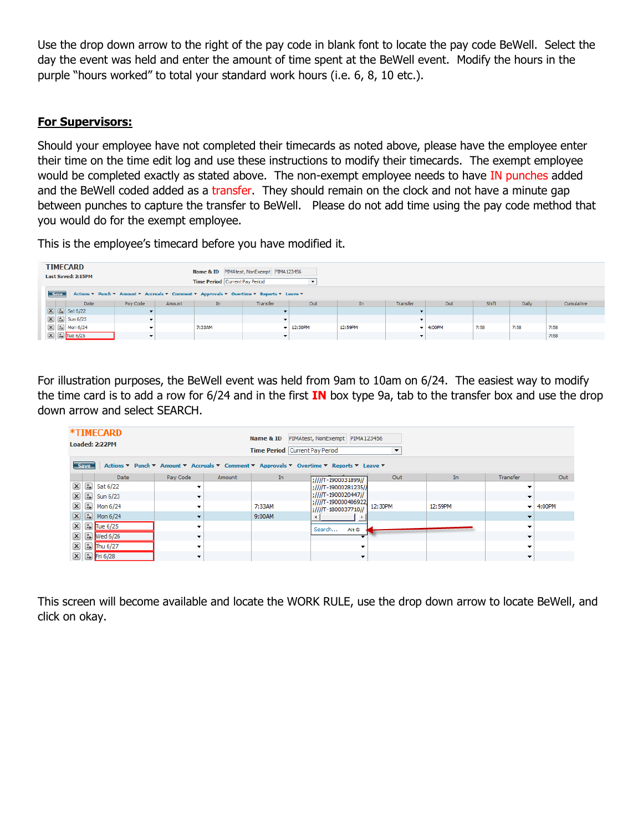Use the drop down arrow to the right of the pay code in blank font to locate the pay code BeWell. Select the day the event was held and enter the amount of time spent at the BeWell event. Modify the hours in the purple "hours worked" to total your standard work hours (i.e. 6, 8, 10 etc.).

# **For Supervisors:**

Should your employee have not completed their timecards as noted above, please have the employee enter their time on the time edit log and use these instructions to modify their timecards. The exempt employee would be completed exactly as stated above. The non-exempt employee needs to have IN punches added and the BeWell coded added as a transfer. They should remain on the clock and not have a minute gap between punches to capture the transfer to BeWell. Please do not add time using the pay code method that you would do for the exempt employee.

This is the employee's timecard before you have modified it.

|             | <b>TIMECARD</b><br>Name & ID PIMAtest, NonExempt PIMA123456<br><b>Last Saved: 2:15PM</b><br><b>Time Period</b> Current Pay Period |                          |        |        |          |                              |         |                          |                              |       |       |            |
|-------------|-----------------------------------------------------------------------------------------------------------------------------------|--------------------------|--------|--------|----------|------------------------------|---------|--------------------------|------------------------------|-------|-------|------------|
| <b>Save</b> | Actions ▼ Punch ▼ Amount ▼ Accruals ▼ Comment ▼ Approvals ▼ Overtime ▼ Reports ▼ Leave ▼                                          |                          |        |        |          |                              |         |                          |                              |       |       |            |
|             | <b>Date</b>                                                                                                                       | Pay Code                 | Amount | In     | Transfer | Out                          | In      | Transfer                 | Out                          | Shift | Daily | Cumulative |
|             | $\boxed{\mathbf{X}}$ $\boxed{\mathbf{t}}$ Sat 6/22                                                                                |                          |        |        |          |                              |         |                          |                              |       |       |            |
|             | $\boxed{\mathbf{X}}$ $\boxed{\mathbf{L}}$ Sun 6/23                                                                                |                          |        |        |          |                              |         | $\overline{\phantom{a}}$ |                              |       |       |            |
|             | $\boxed{\mathbf{X}}$ $\boxed{\mathbf{t}}$ Mon 6/24                                                                                | $\sim$                   |        | 7:33AM |          | $\blacktriangledown$ 12:30PM | 12:59PM |                          | $\blacktriangleright$ 4:00PM | 7:58  | 7:58  | 7:58       |
|             | $\boxed{\mathsf{x}}$ $\boxed{\mathsf{t}}$ Tue 6/25                                                                                | $\overline{\phantom{a}}$ |        |        |          |                              |         |                          |                              |       |       | 7:58       |

For illustration purposes, the BeWell event was held from 9am to 10am on 6/24. The easiest way to modify the time card is to add a row for 6/24 and in the first **IN** box type 9a, tab to the transfer box and use the drop down arrow and select SEARCH.

|                           |                              | *TIMECARD<br>Loaded: 2:22PM |          |        | Name & ID<br><b>Time Period</b> Current Pay Period | PIMAtest, NonExempt PIMA123456                                                           | ▼       |         |                          |        |
|---------------------------|------------------------------|-----------------------------|----------|--------|----------------------------------------------------|------------------------------------------------------------------------------------------|---------|---------|--------------------------|--------|
|                           | <b>Save</b>                  |                             |          |        |                                                    | Actions ▼ Punch ▼ Amount ▼ Accruals ▼ Comment ▼ Approvals ▼ Overtime ▼ Reports ▼ Leave ▼ |         |         |                          |        |
|                           |                              | Date                        | Pav Code | Amount | In                                                 | ;////T-1900031899//                                                                      | Out     | In      | Transfer                 | Out    |
| $\mathbf{x}$              |                              | $5$ Sat 6/22                |          |        |                                                    | ;////T-19000281235//                                                                     |         |         |                          |        |
| $\mathbf{x}$              | $\left  \frac{1}{2} \right $ | Sun 6/23                    |          |        |                                                    | :////T-1900020447//                                                                      |         |         |                          |        |
| $\left[\mathbf{x}\right]$ | $\left( \frac{1}{2} \right)$ | Mon 6/24                    |          |        | 7:33AM                                             | :////T-190000406922<br>:////T-1800037710//                                               | 12:30PM | 12:59PM | ۰.                       | 4:00PM |
| $\mathbf{x}$              |                              | $\boxed{+}$ Mon 6/24        |          |        | 9:00AM                                             |                                                                                          |         |         |                          |        |
| $\left[\mathbf{x}\right]$ |                              | [tal Tue 6/25]              |          |        |                                                    | Alt-S<br>Search                                                                          |         |         |                          |        |
| $\left[\mathbf{x}\right]$ |                              | t Wed 6/26                  | -        |        |                                                    |                                                                                          |         |         |                          |        |
| $\left[\mathbf{x}\right]$ |                              | [5] Thu 6/27                |          |        |                                                    | ▼                                                                                        |         |         |                          |        |
| $\vert x \vert$           |                              | $\boxed{5}$ Fri 6/28        |          |        |                                                    | $\overline{\phantom{a}}$                                                                 |         |         | $\overline{\phantom{a}}$ |        |

This screen will become available and locate the WORK RULE, use the drop down arrow to locate BeWell, and click on okay.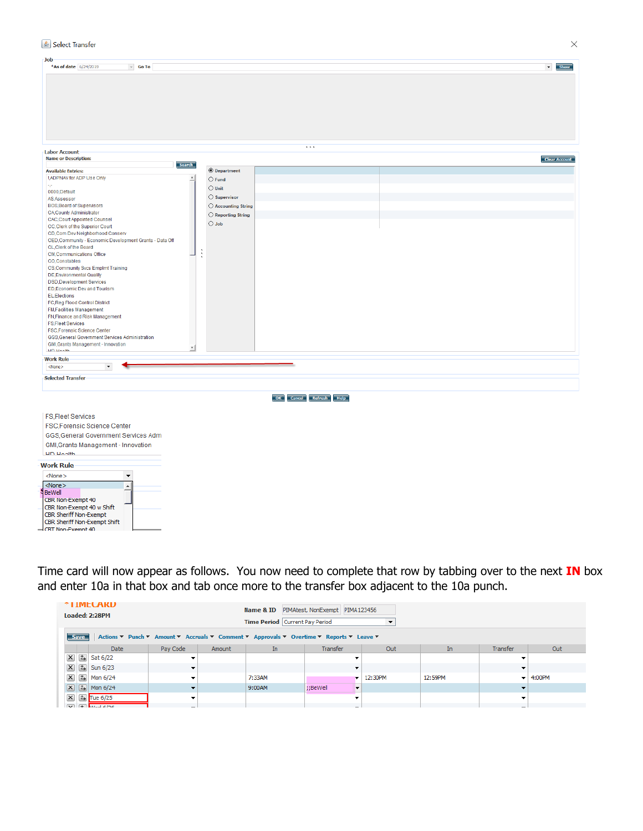#### Select Transfer

| <b>Job</b>                                              |        |                              |                        |                           |
|---------------------------------------------------------|--------|------------------------------|------------------------|---------------------------|
| $\sim$ Go To<br>*As of date 6/24/2019                   |        |                              |                        | $\blacktriangledown$ Show |
|                                                         |        |                              |                        |                           |
|                                                         |        |                              |                        |                           |
|                                                         |        |                              |                        |                           |
|                                                         |        |                              |                        |                           |
|                                                         |        |                              |                        |                           |
|                                                         |        |                              |                        |                           |
|                                                         |        |                              |                        |                           |
|                                                         |        |                              |                        |                           |
|                                                         |        |                              |                        |                           |
|                                                         |        |                              |                        |                           |
|                                                         |        |                              |                        |                           |
|                                                         |        |                              |                        |                           |
|                                                         |        |                              | $\cdots$               |                           |
| <b>Labor Account</b>                                    |        |                              |                        |                           |
| <b>Name or Description:</b>                             |        |                              |                        | Clear Account             |
|                                                         | Search |                              |                        |                           |
| <b>Available Entries:</b>                               |        | <b>O</b> Department          |                        |                           |
| !, ADPNAV for ADP Use Only                              |        | $\bigcirc$ Fund              |                        |                           |
| k.                                                      |        |                              |                        |                           |
| 0000, Default                                           |        | $\bigcirc$ Unit              |                        |                           |
| AS, Assessor                                            |        | ○ Supervisor                 |                        |                           |
| <b>BOS, Board of Supervisors</b>                        |        |                              |                        |                           |
|                                                         |        | $\bigcirc$ Accounting String |                        |                           |
| CA, County Administrator                                |        | $\bigcirc$ Reporting String  |                        |                           |
| <b>CAC, Court Appointed Counsel</b>                     |        | $\bigcirc$ Job               |                        |                           |
| CC, Clerk of the Superior Court                         |        |                              |                        |                           |
| CD,Com Dev Neighborhood Conserv                         |        |                              |                        |                           |
| CED, Community - Economic Development Grants - Data Off |        |                              |                        |                           |
| CL, Clerk of the Board                                  |        |                              |                        |                           |
| <b>CM, Communications Office</b>                        |        | t                            |                        |                           |
| CO,Constables                                           |        |                              |                        |                           |
|                                                         |        |                              |                        |                           |
| CS, Community Svcs Emplmt Training                      |        |                              |                        |                           |
| <b>DE, Environmental Quality</b>                        |        |                              |                        |                           |
| <b>DSD,Development Services</b>                         |        |                              |                        |                           |
| ED, Economic Dev and Tourism                            |        |                              |                        |                           |
| EL,Elections                                            |        |                              |                        |                           |
| FC, Reg Flood Control District                          |        |                              |                        |                           |
| <b>FM, Facilities Management</b>                        |        |                              |                        |                           |
| FN, Finance and Risk Management                         |        |                              |                        |                           |
|                                                         |        |                              |                        |                           |
| <b>FS,Fleet Services</b>                                |        |                              |                        |                           |
| <b>FSC, Forensic Science Center</b>                     |        |                              |                        |                           |
| GGS, General Government Services Administration         |        |                              |                        |                           |
| GMI, Grants Management - Innovation                     |        |                              |                        |                           |
| LID Hooth                                               | ∽∣     |                              |                        |                           |
|                                                         |        |                              |                        |                           |
| <b>Work Rule</b>                                        |        |                              |                        |                           |
| $\blacktriangledown$<br><none></none>                   |        |                              |                        |                           |
|                                                         |        |                              |                        |                           |
| <b>Selected Transfer</b>                                |        |                              |                        |                           |
|                                                         |        |                              |                        |                           |
|                                                         |        |                              |                        |                           |
|                                                         |        |                              | OK Cancel Refresh Help |                           |
|                                                         |        |                              |                        |                           |
|                                                         |        |                              |                        |                           |
| <b>FS,Fleet Services</b>                                |        |                              |                        |                           |
|                                                         |        |                              |                        |                           |
| FSC, Forensic Science Center                            |        |                              |                        |                           |
| GGS, General Government Services Adm                    |        |                              |                        |                           |
|                                                         |        |                              |                        |                           |
| GMI, Grants Management - Innovation                     |        |                              |                        |                           |
| <b>LID Livelih</b>                                      |        |                              |                        |                           |
|                                                         |        |                              |                        |                           |
| <b>Work Rule</b>                                        |        |                              |                        |                           |
| $<$ None $>$<br>$\overline{\phantom{a}}$                |        |                              |                        |                           |
|                                                         |        |                              |                        |                           |
| $<$ None $>$<br>$\blacktriangle$                        |        |                              |                        |                           |
| BeWell                                                  |        |                              |                        |                           |
| CBR Non-Exempt 40                                       |        |                              |                        |                           |
|                                                         |        |                              |                        |                           |
| CBR Non-Exempt 40 w Shift                               |        |                              |                        |                           |
| CBR Sheriff Non-Exempt                                  |        |                              |                        |                           |
| CBR Sheriff Non-Exempt Shift                            |        |                              |                        |                           |
| CBT Non-Exempt 40                                       |        |                              |                        |                           |
|                                                         |        |                              |                        |                           |

Time card will now appear as follows. You now need to complete that row by tabbing over to the next **IN** box and enter 10a in that box and tab once more to the transfer box adjacent to the 10a punch.

|                           | <b><i><b>TIMELAKD</b></i></b><br>Name & ID PIMAtest, NonExempt PIMA123456<br>Loaded: 2:28PM<br>Time Period Current Pay Period<br>▼ |                                        |          |        |        |               |            |         |          |                              |  |
|---------------------------|------------------------------------------------------------------------------------------------------------------------------------|----------------------------------------|----------|--------|--------|---------------|------------|---------|----------|------------------------------|--|
|                           | Actions ▼ Punch ▼ Amount ▼ Accruals ▼ Comment ▼ Approvals ▼ Overtime ▼ Reports ▼ Leave ▼<br><b>Save</b>                            |                                        |          |        |        |               |            |         |          |                              |  |
|                           |                                                                                                                                    | Date                                   | Pay Code | Amount | In.    | Transfer      | Out        | In      | Transfer | Out                          |  |
| $\mathbf{x}$              |                                                                                                                                    | $\boxed{1}$ Sat 6/22                   |          |        |        |               |            |         |          |                              |  |
| $\left[\mathbf{x}\right]$ |                                                                                                                                    | $\boxed{1}$ Sun 6/23                   |          |        |        |               |            |         |          |                              |  |
| $\mathbf{x}$              |                                                                                                                                    | [tal Mon 6/24                          |          |        | 7:33AM |               | $-12:30PM$ | 12:59PM |          | $\blacktriangleright$ 4:00PM |  |
|                           |                                                                                                                                    | $ \mathbf{X} $ $ \mathbf{L} $ Mon 6/24 |          |        | 9:00AM | ;;BeWell<br>▼ |            |         |          |                              |  |
| $\mathbf{x}$              |                                                                                                                                    | [tal Tue 6/25]                         |          |        |        |               |            |         |          |                              |  |
|                           |                                                                                                                                    | $\boxed{v}$ $\boxed{+}$ Mod 6/26       |          |        |        |               |            |         |          |                              |  |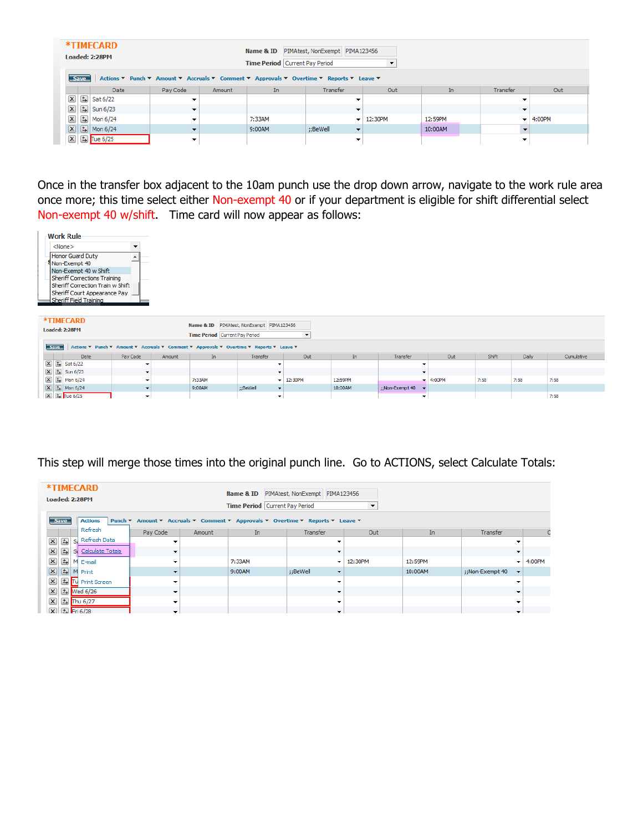|                         |                                                                                                         | *TIMECARD<br>Loaded: 2:28PM |                          |        | Name & ID<br>Time Period Current Pay Period | PIMAtest, NonExempt PIMA123456       |         |         |          |            |
|-------------------------|---------------------------------------------------------------------------------------------------------|-----------------------------|--------------------------|--------|---------------------------------------------|--------------------------------------|---------|---------|----------|------------|
|                         | Actions ▼ Punch ▼ Amount ▼ Accruals ▼ Comment ▼ Approvals ▼ Overtime ▼ Reports ▼ Leave ▼<br><b>Save</b> |                             |                          |        |                                             |                                      |         |         |          |            |
|                         |                                                                                                         | <b>Date</b>                 | Pay Code                 | Amount | In.                                         | Transfer                             | Out     | In      | Transfer | Out        |
| $\boxed{\mathsf{x}}$    | $\Rightarrow$                                                                                           | Sat 6/22                    |                          |        |                                             | ▼                                    |         |         |          |            |
| $\mathbf{x}$            |                                                                                                         | $\boxed{5}$ Sun 6/23        | $\overline{\phantom{a}}$ |        |                                             |                                      |         |         |          |            |
| $\boxed{\mathsf{x}}$    | $\Rightarrow$                                                                                           | Mon 6/24                    |                          |        | 7:33AM                                      | $\mathbf{v}$ is                      | 12:30PM | 12:59PM |          | $-$ 4:00PM |
| $\mathbf{x}$            |                                                                                                         | $\boxed{5}$ Mon 6/24        |                          |        | 9:00AM                                      | ::BeWell<br>$\overline{\phantom{a}}$ |         | 10:00AM |          |            |
| $\overline{\mathbf{x}}$ |                                                                                                         | t Tue 6/25                  |                          |        |                                             |                                      |         |         |          |            |

Once in the transfer box adjacent to the 10am punch use the drop down arrow, navigate to the work rule area once more; this time select either Non-exempt 40 or if your department is eligible for shift differential select Non-exempt 40 w/shift. Time card will now appear as follows:



| *TIMECARD<br>Name & ID PIMAtest, NonExempt PIMA123456<br>Loaded: 2:28PM<br><b>Time Period</b> Current Pay Period |                          |        |        |                          |             |         |                 |            |       |       |            |  |
|------------------------------------------------------------------------------------------------------------------|--------------------------|--------|--------|--------------------------|-------------|---------|-----------------|------------|-------|-------|------------|--|
| Save Actions ▼ Punch ▼ Amount ▼ Accruals ▼ Comment ▼ Approvals ▼ Overtime ▼ Reports ▼ Leave ▼                    |                          |        |        |                          |             |         |                 |            |       |       |            |  |
| Date                                                                                                             | Pay Code                 | Amount | In.    | Transfer                 | Out         | In.     | Transfer        | Out        | Shift | Daily | Cumulative |  |
| $\boxed{\mathbf{X}}$ $\boxed{\pm}$ Sat 6/22                                                                      | $\tilde{\phantom{a}}$    |        |        |                          |             |         |                 |            |       |       |            |  |
| $\boxed{\mathbf{X}}$ $\boxed{\mathbf{t}}$ Sun 6/23                                                               |                          |        |        |                          |             |         |                 |            |       |       |            |  |
| $\boxed{\mathbf{X}}$ $\boxed{\mathbf{t}}$ Mon 6/24                                                               | $\tilde{\phantom{a}}$    |        | 7:33AM |                          | $-12:30$ PM | 12:59PM |                 | $-4:00$ PM | 7:58  | 7:58  | 7:58       |  |
| $\boxed{\mathbf{X}}$ $\boxed{\mathbf{t}}$ Mon 6/24                                                               | $\overline{\phantom{a}}$ |        | 9:00AM | ::BeWell<br>$\cdot$      |             | 10:00AM | ::Non-Exempt 40 |            |       |       |            |  |
| $\boxed{\mathbf{X}}$ $\boxed{\mathbf{t}}$ Tue 6/25                                                               | $\overline{\phantom{a}}$ |        |        | $\overline{\phantom{a}}$ |             |         | $\cdot$         |            |       |       | 7:58       |  |

# This step will merge those times into the original punch line. Go to ACTIONS, select Calculate Totals:

| *TIMECARD<br>Loaded: 2:28PM<br><b>Save</b>   | <b>Actions</b>   | PIMAtest, NonExempt PIMA123456<br>Name & ID<br><b>Time Period Current Pay Period</b><br>Punch ▼ Amount ▼ Accruals ▼ Comment ▼ Approvals ▼ Overtime ▼ Reports ▼ Leave ▼ |        |        |                                      |         |         |                                             |            |
|----------------------------------------------|------------------|------------------------------------------------------------------------------------------------------------------------------------------------------------------------|--------|--------|--------------------------------------|---------|---------|---------------------------------------------|------------|
|                                              | Refresh          | Pay Code                                                                                                                                                               | Amount | In     | Transfer                             | Out     | In      | Transfer                                    | C          |
| $\left( \frac{1}{2} \right)$<br>$\mathbf{x}$ | Refresh Data     | ٠                                                                                                                                                                      |        |        |                                      |         |         |                                             |            |
| $\boxed{\mathsf{x}}$<br>国                    | Calculate Totals | $\overline{\phantom{a}}$                                                                                                                                               |        |        | $\overline{\phantom{a}}$             |         |         | $\overline{\phantom{a}}$                    |            |
| 国<br>$\mathbf{x}$                            | M E-mail         |                                                                                                                                                                        |        | 7:33AM | $\cdot$                              | 12:30PM | 12:59PM |                                             | $-$ 4:00PM |
| 国<br>$\boxed{\mathbf{x}}$                    | M Print          | $\overline{\phantom{a}}$                                                                                                                                               |        | 9:00AM | ::BeWell<br>$\overline{\phantom{a}}$ |         | 10:00AM | ::Non-Exempt 40<br>$\overline{\phantom{a}}$ |            |
| $\boxed{\mathsf{x}}$<br>马                    | Tu Print Screen  | ▼                                                                                                                                                                      |        |        |                                      |         |         | ▼                                           |            |
| $\boxed{\mathsf{x}}$                         | [5] Wed 6/26     | $\overline{\phantom{a}}$                                                                                                                                               |        |        |                                      |         |         |                                             |            |
| $\boxed{\mathsf{x}}$                         | [5] Thu 6/27     | ▼                                                                                                                                                                      |        |        | $\overline{\phantom{a}}$             |         |         | ۰                                           |            |
| $\overline{\mathbf{x}}$                      | Eri 6/28         | $\overline{\phantom{a}}$                                                                                                                                               |        |        | $\overline{\phantom{0}}$             |         |         | $\mathbf{r}$                                |            |